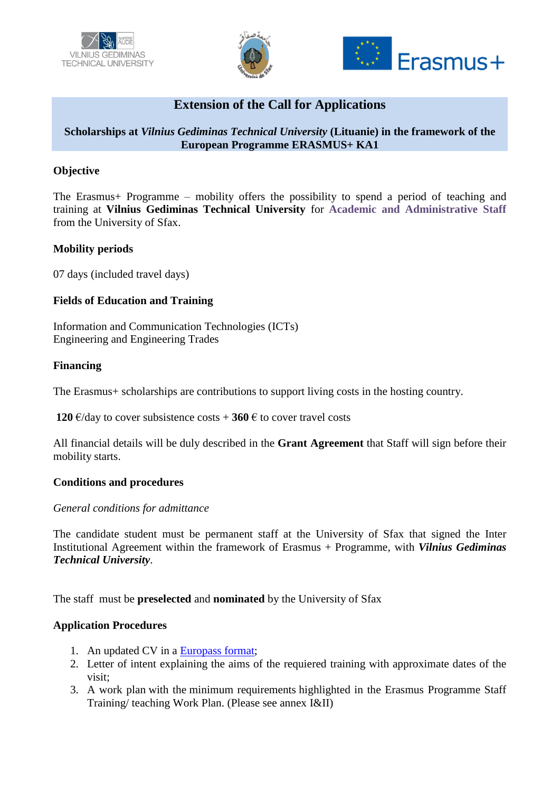





# **Extension of the Call for Applications**

## **Scholarships at** *Vilnius Gediminas Technical University* **(Lituanie) in the framework of the European Programme ERASMUS+ KA1**

### **Objective**

The Erasmus+ Programme – mobility offers the possibility to spend a period of teaching and training at **Vilnius Gediminas Technical University** for **Academic and Administrative Staff** from the University of Sfax.

#### **Mobility periods**

07 days (included travel days)

## **Fields of Education and Training**

Information and Communication Technologies (ICTs) Engineering and Engineering Trades

#### **Financing**

The Erasmus+ scholarships are contributions to support living costs in the hosting country.

**120** €/day to cover subsistence costs  $+$  **360** € to cover travel costs

All financial details will be duly described in the **Grant Agreement** that Staff will sign before their mobility starts.

#### **Conditions and procedures**

#### *General conditions for admittance*

The candidate student must be permanent staff at the University of Sfax that signed the Inter Institutional Agreement within the framework of Erasmus + Programme, with *Vilnius Gediminas Technical University*.

The staff must be **preselected** and **nominated** by the University of Sfax

#### **Application Procedures**

- 1. An updated CV in a [Europass format;](http://europass.cedefop.europa.eu/europass/home/hornav/Downloads/EuropassCV/CVTemplate.csp)
- 2. Letter of intent explaining the aims of the requiered training with approximate dates of the visit;
- 3. A work plan with the minimum requirements highlighted in the Erasmus Programme Staff Training/ teaching Work Plan. (Please see annex I&II)